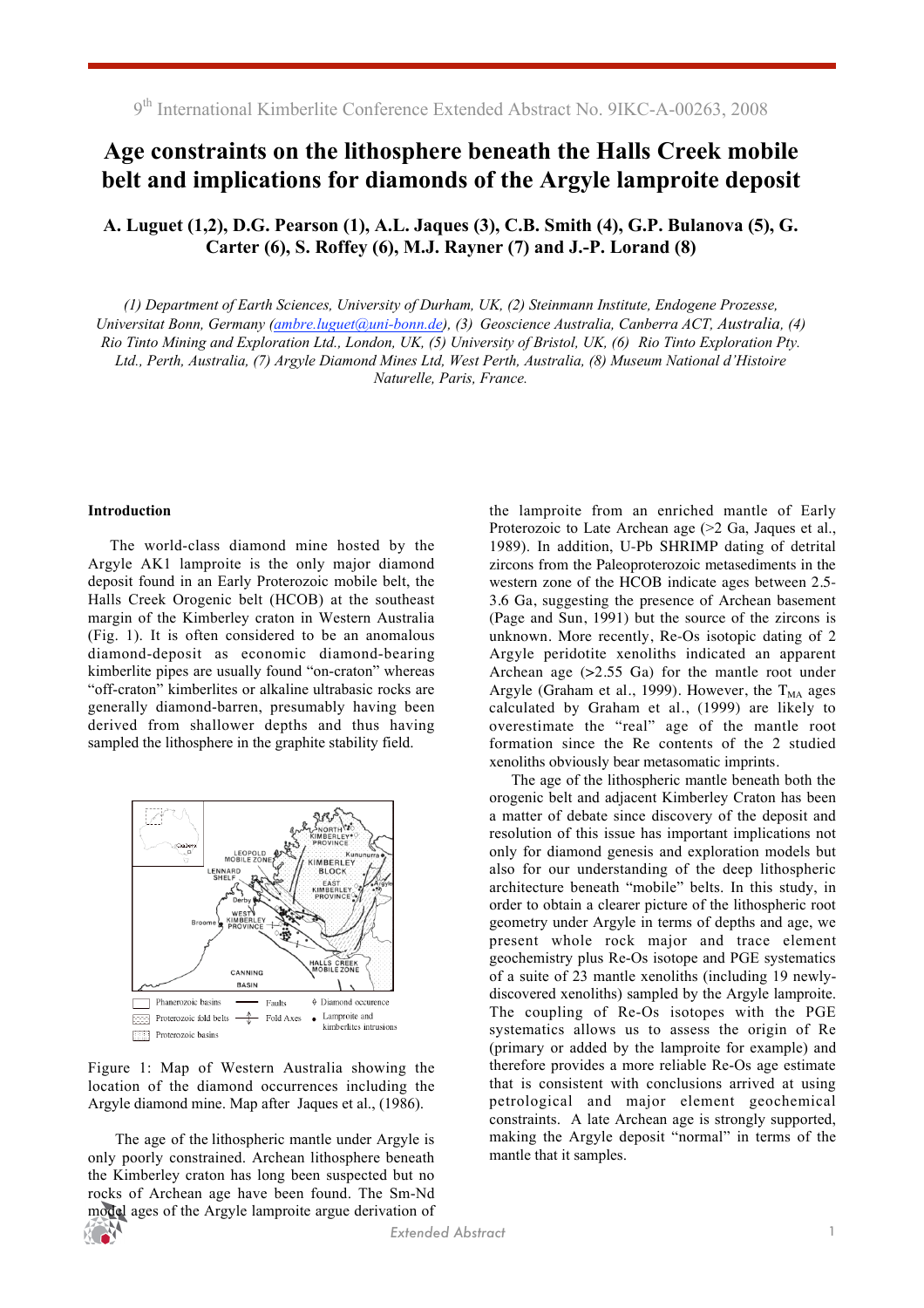# **Age constraints on the lithosphere beneath the Halls Creek mobile belt and implications for diamonds of the Argyle lamproite deposit**

**A. Luguet (1,2), D.G. Pearson (1), A.L. Jaques (3), C.B. Smith (4), G.P. Bulanova (5), G. Carter (6), S. Roffey (6), M.J. Rayner (7) and J.-P. Lorand (8)**

*(1) Department of Earth Sciences, University of Durham, UK, (2) Steinmann Institute, Endogene Prozesse, Universitat Bonn, Germany (ambre.luguet@uni-bonn.de), (3) Geoscience Australia, Canberra ACT, Australia, (4) Rio Tinto Mining and Exploration Ltd., London, UK, (5) University of Bristol, UK, (6) Rio Tinto Exploration Pty. Ltd., Perth, Australia, (7) Argyle Diamond Mines Ltd, West Perth, Australia, (8) Museum National d'Histoire Naturelle, Paris, France.*

#### **Introduction**

The world-class diamond mine hosted by the Argyle AK1 lamproite is the only major diamond deposit found in an Early Proterozoic mobile belt, the Halls Creek Orogenic belt (HCOB) at the southeast margin of the Kimberley craton in Western Australia (Fig. 1). It is often considered to be an anomalous diamond-deposit as economic diamond-bearing kimberlite pipes are usually found "on-craton" whereas "off-craton" kimberlites or alkaline ultrabasic rocks are generally diamond-barren, presumably having been derived from shallower depths and thus having sampled the lithosphere in the graphite stability field.



Figure 1: Map of Western Australia showing the location of the diamond occurrences including the Argyle diamond mine. Map after Jaques et al., (1986).

The age of the lithospheric mantle under Argyle is only poorly constrained. Archean lithosphere beneath the Kimberley craton has long been suspected but no rocks of Archean age have been found. The Sm-Nd model ages of the Argyle lamproite argue derivation of

the lamproite from an enriched mantle of Early Proterozoic to Late Archean age (>2 Ga, Jaques et al., 1989). In addition, U-Pb SHRIMP dating of detrital zircons from the Paleoproterozoic metasediments in the western zone of the HCOB indicate ages between 2.5- 3.6 Ga, suggesting the presence of Archean basement (Page and Sun, 1991) but the source of the zircons is unknown. More recently, Re-Os isotopic dating of 2 Argyle peridotite xenoliths indicated an apparent Archean age (>2.55 Ga) for the mantle root under Argyle (Graham et al., 1999). However, the  $T_{MA}$  ages calculated by Graham et al., (1999) are likely to overestimate the "real" age of the mantle root formation since the Re contents of the 2 studied xenoliths obviously bear metasomatic imprints.

The age of the lithospheric mantle beneath both the orogenic belt and adjacent Kimberley Craton has been a matter of debate since discovery of the deposit and resolution of this issue has important implications not only for diamond genesis and exploration models but also for our understanding of the deep lithospheric architecture beneath "mobile" belts. In this study, in order to obtain a clearer picture of the lithospheric root geometry under Argyle in terms of depths and age, we present whole rock major and trace element geochemistry plus Re-Os isotope and PGE systematics of a suite of 23 mantle xenoliths (including 19 newlydiscovered xenoliths) sampled by the Argyle lamproite. The coupling of Re-Os isotopes with the PGE systematics allows us to assess the origin of Re (primary or added by the lamproite for example) and therefore provides a more reliable Re-Os age estimate that is consistent with conclusions arrived at using petrological and major element geochemical constraints. A late Archean age is strongly supported, making the Argyle deposit "normal" in terms of the mantle that it samples.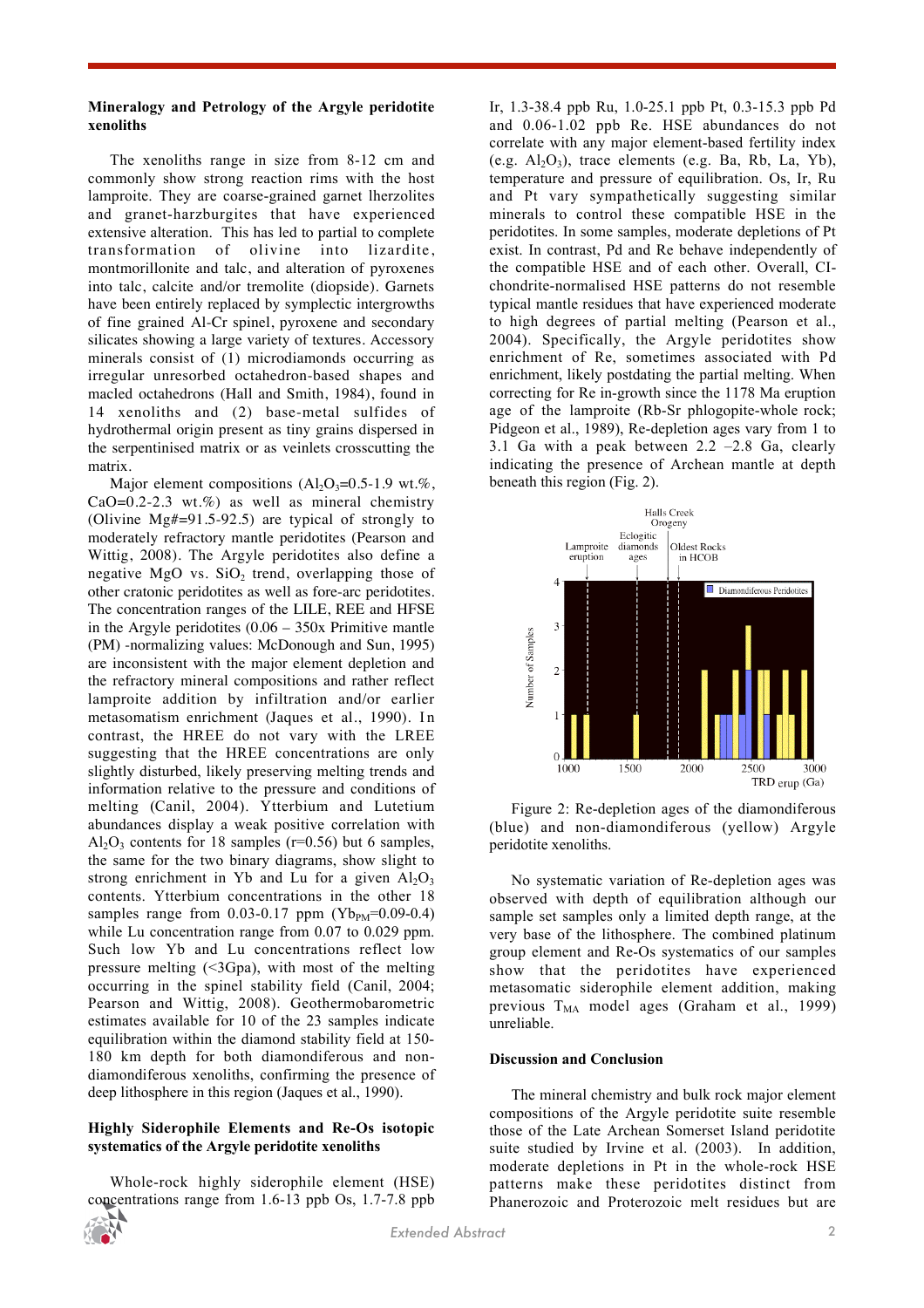## **Mineralogy and Petrology of the Argyle peridotite xenoliths**

The xenoliths range in size from 8-12 cm and commonly show strong reaction rims with the host lamproite. They are coarse-grained garnet lherzolites and granet-harzburgites that have experienced extensive alteration. This has led to partial to complete transformation of olivine into lizardite, montmorillonite and talc, and alteration of pyroxenes into talc, calcite and/or tremolite (diopside). Garnets have been entirely replaced by symplectic intergrowths of fine grained Al-Cr spinel, pyroxene and secondary silicates showing a large variety of textures. Accessory minerals consist of (1) microdiamonds occurring as irregular unresorbed octahedron-based shapes and macled octahedrons (Hall and Smith, 1984), found in 14 xenoliths and (2) base-metal sulfides of hydrothermal origin present as tiny grains dispersed in the serpentinised matrix or as veinlets crosscutting the matrix.

Major element compositions  $(A_1, O_2=0.5-1.9 \text{ wt.}\%$ ,  $CaO=0.2-2.3$  wt.%) as well as mineral chemistry (Olivine Mg#=91.5-92.5) are typical of strongly to moderately refractory mantle peridotites (Pearson and Wittig, 2008). The Argyle peridotites also define a negative MgO vs.  $SiO<sub>2</sub>$  trend, overlapping those of other cratonic peridotites as well as fore-arc peridotites. The concentration ranges of the LILE, REE and HFSE in the Argyle peridotites (0.06 – 350x Primitive mantle (PM) -normalizing values: McDonough and Sun, 1995) are inconsistent with the major element depletion and the refractory mineral compositions and rather reflect lamproite addition by infiltration and/or earlier metasomatism enrichment (Jaques et al., 1990). In contrast, the HREE do not vary with the LREE suggesting that the HREE concentrations are only slightly disturbed, likely preserving melting trends and information relative to the pressure and conditions of melting (Canil, 2004). Ytterbium and Lutetium abundances display a weak positive correlation with Al<sub>2</sub>O<sub>3</sub> contents for 18 samples ( $r=0.56$ ) but 6 samples, the same for the two binary diagrams, show slight to strong enrichment in Yb and Lu for a given  $Al_2O_3$ contents. Ytterbium concentrations in the other 18 samples range from  $0.03-0.17$  ppm (Yb<sub>PM</sub>=0.09-0.4) while Lu concentration range from 0.07 to 0.029 ppm. Such low Yb and Lu concentrations reflect low pressure melting  $(\leq 3Gpa)$ , with most of the melting occurring in the spinel stability field (Canil, 2004; Pearson and Wittig, 2008). Geothermobarometric estimates available for 10 of the 23 samples indicate equilibration within the diamond stability field at 150- 180 km depth for both diamondiferous and nondiamondiferous xenoliths, confirming the presence of deep lithosphere in this region (Jaques et al., 1990).

## **Highly Siderophile Elements and Re-Os isotopic systematics of the Argyle peridotite xenoliths**

Whole-rock highly siderophile element (HSE) concentrations range from 1.6-13 ppb Os, 1.7-7.8 ppb



Ir, 1.3-38.4 ppb Ru, 1.0-25.1 ppb Pt, 0.3-15.3 ppb Pd and 0.06-1.02 ppb Re. HSE abundances do not correlate with any major element-based fertility index (e.g.  $Al_2O_3$ ), trace elements (e.g. Ba, Rb, La, Yb), temperature and pressure of equilibration. Os, Ir, Ru and Pt vary sympathetically suggesting similar minerals to control these compatible HSE in the peridotites. In some samples, moderate depletions of Pt exist. In contrast, Pd and Re behave independently of the compatible HSE and of each other. Overall, CIchondrite-normalised HSE patterns do not resemble typical mantle residues that have experienced moderate to high degrees of partial melting (Pearson et al., 2004). Specifically, the Argyle peridotites show enrichment of Re, sometimes associated with Pd enrichment, likely postdating the partial melting. When correcting for Re in-growth since the 1178 Ma eruption age of the lamproite (Rb-Sr phlogopite-whole rock; Pidgeon et al., 1989), Re-depletion ages vary from 1 to 3.1 Ga with a peak between 2.2 –2.8 Ga, clearly indicating the presence of Archean mantle at depth beneath this region (Fig. 2).



Figure 2: Re-depletion ages of the diamondiferous (blue) and non-diamondiferous (yellow) Argyle peridotite xenoliths.

No systematic variation of Re-depletion ages was observed with depth of equilibration although our sample set samples only a limited depth range, at the very base of the lithosphere. The combined platinum group element and Re-Os systematics of our samples show that the peridotites have experienced metasomatic siderophile element addition, making previous  $T_{MA}$  model ages (Graham et al., 1999) unreliable.

### **Discussion and Conclusion**

The mineral chemistry and bulk rock major element compositions of the Argyle peridotite suite resemble those of the Late Archean Somerset Island peridotite suite studied by Irvine et al. (2003). In addition, moderate depletions in Pt in the whole-rock HSE patterns make these peridotites distinct from Phanerozoic and Proterozoic melt residues but are